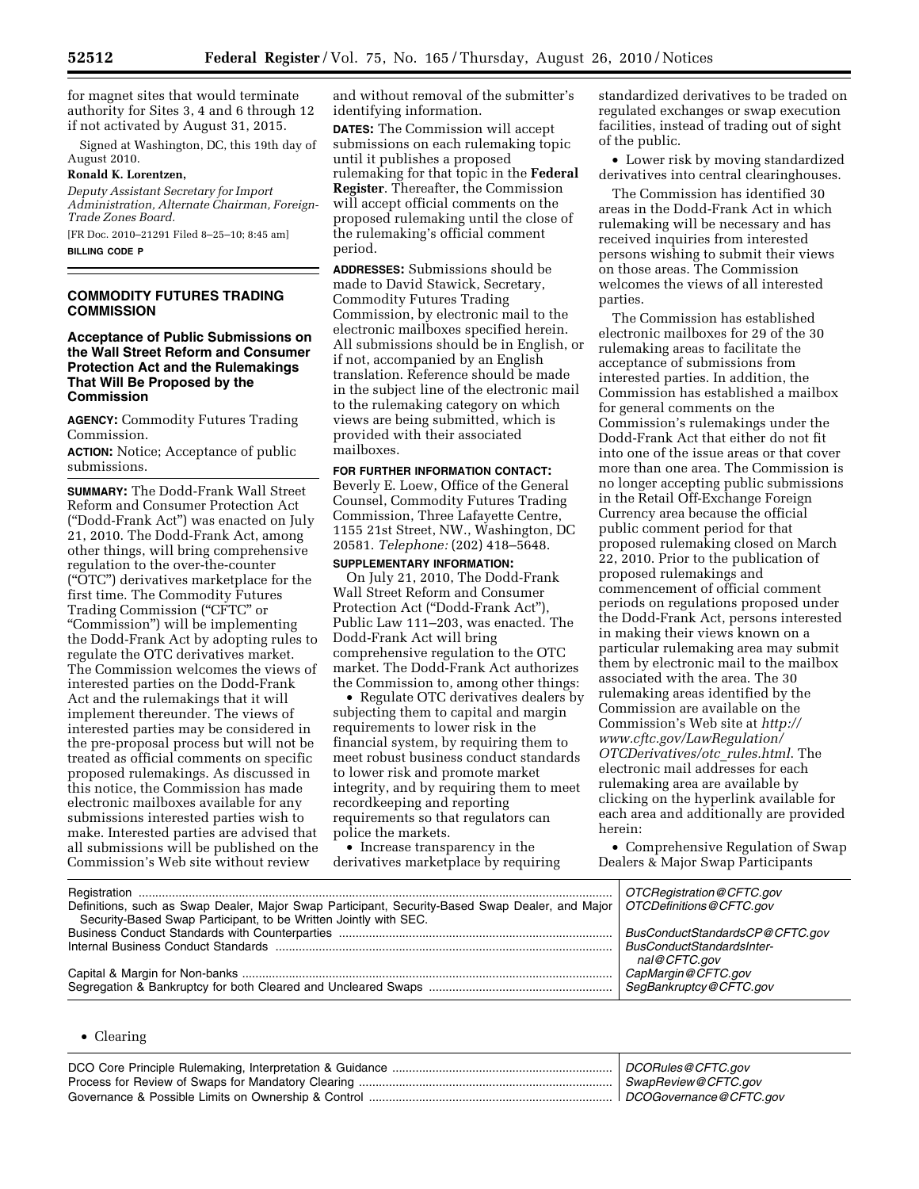for magnet sites that would terminate authority for Sites 3, 4 and 6 through 12 if not activated by August 31, 2015.

Signed at Washington, DC, this 19th day of August 2010.

# **Ronald K. Lorentzen,**

*Deputy Assistant Secretary for Import Administration, Alternate Chairman, Foreign-Trade Zones Board.* 

[FR Doc. 2010–21291 Filed 8–25–10; 8:45 am] **BILLING CODE P** 

## **COMMODITY FUTURES TRADING COMMISSION**

## **Acceptance of Public Submissions on the Wall Street Reform and Consumer Protection Act and the Rulemakings That Will Be Proposed by the Commission**

**AGENCY:** Commodity Futures Trading Commission.

**ACTION:** Notice; Acceptance of public submissions.

**SUMMARY:** The Dodd-Frank Wall Street Reform and Consumer Protection Act (''Dodd-Frank Act'') was enacted on July 21, 2010. The Dodd-Frank Act, among other things, will bring comprehensive regulation to the over-the-counter (''OTC'') derivatives marketplace for the first time. The Commodity Futures Trading Commission (''CFTC'' or ''Commission'') will be implementing the Dodd-Frank Act by adopting rules to regulate the OTC derivatives market. The Commission welcomes the views of interested parties on the Dodd-Frank Act and the rulemakings that it will implement thereunder. The views of interested parties may be considered in the pre-proposal process but will not be treated as official comments on specific proposed rulemakings. As discussed in this notice, the Commission has made electronic mailboxes available for any submissions interested parties wish to make. Interested parties are advised that all submissions will be published on the Commission's Web site without review

and without removal of the submitter's identifying information.

**DATES:** The Commission will accept submissions on each rulemaking topic until it publishes a proposed rulemaking for that topic in the **Federal Register**. Thereafter, the Commission will accept official comments on the proposed rulemaking until the close of the rulemaking's official comment period.

**ADDRESSES:** Submissions should be made to David Stawick, Secretary, Commodity Futures Trading Commission, by electronic mail to the electronic mailboxes specified herein. All submissions should be in English, or if not, accompanied by an English translation. Reference should be made in the subject line of the electronic mail to the rulemaking category on which views are being submitted, which is provided with their associated mailboxes.

## **FOR FURTHER INFORMATION CONTACT:**

Beverly E. Loew, Office of the General Counsel, Commodity Futures Trading Commission, Three Lafayette Centre, 1155 21st Street, NW., Washington, DC 20581. *Telephone:* (202) 418–5648.

# **SUPPLEMENTARY INFORMATION:**

On July 21, 2010, The Dodd-Frank Wall Street Reform and Consumer Protection Act (''Dodd-Frank Act''), Public Law 111–203, was enacted. The Dodd-Frank Act will bring comprehensive regulation to the OTC market. The Dodd-Frank Act authorizes the Commission to, among other things:

• Regulate OTC derivatives dealers by subjecting them to capital and margin requirements to lower risk in the financial system, by requiring them to meet robust business conduct standards to lower risk and promote market integrity, and by requiring them to meet recordkeeping and reporting requirements so that regulators can police the markets.

• Increase transparency in the derivatives marketplace by requiring

standardized derivatives to be traded on regulated exchanges or swap execution facilities, instead of trading out of sight of the public.

• Lower risk by moving standardized derivatives into central clearinghouses.

The Commission has identified 30 areas in the Dodd-Frank Act in which rulemaking will be necessary and has received inquiries from interested persons wishing to submit their views on those areas. The Commission welcomes the views of all interested parties.

The Commission has established electronic mailboxes for 29 of the 30 rulemaking areas to facilitate the acceptance of submissions from interested parties. In addition, the Commission has established a mailbox for general comments on the Commission's rulemakings under the Dodd-Frank Act that either do not fit into one of the issue areas or that cover more than one area. The Commission is no longer accepting public submissions in the Retail Off-Exchange Foreign Currency area because the official public comment period for that proposed rulemaking closed on March 22, 2010. Prior to the publication of proposed rulemakings and commencement of official comment periods on regulations proposed under the Dodd-Frank Act, persons interested in making their views known on a particular rulemaking area may submit them by electronic mail to the mailbox associated with the area. The 30 rulemaking areas identified by the Commission are available on the Commission's Web site at *[http://](http://www.cftc.gov/LawRegulation/OTCDerivatives/otc_rules.html)  [www.cftc.gov/LawRegulation/](http://www.cftc.gov/LawRegulation/OTCDerivatives/otc_rules.html) [OTCDerivatives/otc](http://www.cftc.gov/LawRegulation/OTCDerivatives/otc_rules.html)*\_*rules.html*. The electronic mail addresses for each rulemaking area are available by clicking on the hyperlink available for each area and additionally are provided herein:

• Comprehensive Regulation of Swap Dealers & Major Swap Participants

| Security-Based Swap Participant, to be Written Jointly with SEC. | OTCRegistration @ CFTC.gov                       |
|------------------------------------------------------------------|--------------------------------------------------|
|                                                                  | BusConductStandardsCP@CFTC.gov                   |
|                                                                  | <b>BusConductStandardsInter-</b><br>nal@CFTC.gov |
|                                                                  | CapMargin@CFTC.gov                               |
|                                                                  | SegBankruptcy@CFTC.gov                           |

#### • Clearing

| DCORules@CFTC.gov      |
|------------------------|
| SwapReview@CFTC.gov    |
| DCOGovernance@CFTC.gov |